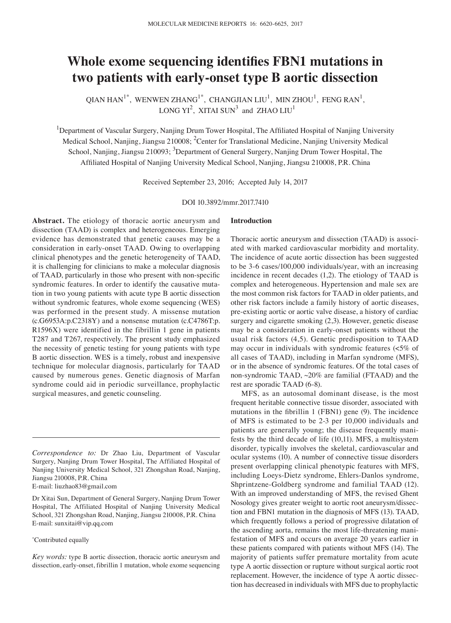# **Whole exome sequencing identifies FBN1 mutations in two patients with early‑onset type B aortic dissection**

QIAN HAN $^{1^{\ast}}$ , WENWEN ZHANG $^{1^{\ast}}$ , CHANGJIAN LIU $^{1}$ , MIN ZHOU $^{1}$ , FENG RAN $^{1}_{\cdot}$ LONG  $YI^2$ , XITAI SUN<sup>3</sup> and ZHAO LIU<sup>1</sup>

<sup>1</sup>Department of Vascular Surgery, Nanjing Drum Tower Hospital, The Affiliated Hospital of Nanjing University Medical School, Nanjing, Jiangsu 210008; <sup>2</sup>Center for Translational Medicine, Nanjing University Medical School, Nanjing, Jiangsu 210093; <sup>3</sup>Department of General Surgery, Nanjing Drum Tower Hospital, The Affiliated Hospital of Nanjing University Medical School, Nanjing, Jiangsu 210008, P.R. China

Received September 23, 2016; Accepted July 14, 2017

## DOI 10.3892/mmr.2017.7410

**Abstract.** The etiology of thoracic aortic aneurysm and dissection (TAAD) is complex and heterogeneous. Emerging evidence has demonstrated that genetic causes may be a consideration in early-onset TAAD. Owing to overlapping clinical phenotypes and the genetic heterogeneity of TAAD, it is challenging for clinicians to make a molecular diagnosis of TAAD, particularly in those who present with non‑specific syndromic features. In order to identify the causative mutation in two young patients with acute type B aortic dissection without syndromic features, whole exome sequencing (WES) was performed in the present study. A missense mutation (c.G6953A:p.C2318Y) and a nonsense mutation (c.C4786T:p. R1596X) were identified in the fibrillin 1 gene in patients T287 and T267, respectively. The present study emphasized the necessity of genetic testing for young patients with type B aortic dissection. WES is a timely, robust and inexpensive technique for molecular diagnosis, particularly for TAAD caused by numerous genes. Genetic diagnosis of Marfan syndrome could aid in periodic surveillance, prophylactic surgical measures, and genetic counseling.

#### \* Contributed equally

*Key words:* type B aortic dissection, thoracic aortic aneurysm and dissection, early-onset, fibrillin 1 mutation, whole exome sequencing

# **Introduction**

Thoracic aortic aneurysm and dissection (TAAD) is associated with marked cardiovascular morbidity and mortality. The incidence of acute aortic dissection has been suggested to be 3-6 cases/100,000 individuals/year, with an increasing incidence in recent decades (1,2). The etiology of TAAD is complex and heterogeneous. Hypertension and male sex are the most common risk factors for TAAD in older patients, and other risk factors include a family history of aortic diseases, pre-existing aortic or aortic valve disease, a history of cardiac surgery and cigarette smoking (2,3). However, genetic disease may be a consideration in early-onset patients without the usual risk factors (4,5). Genetic predisposition to TAAD may occur in individuals with syndromic features (<5% of all cases of TAAD), including in Marfan syndrome (MFS), or in the absence of syndromic features. Of the total cases of non-syndromic TAAD, ~20% are familial (FTAAD) and the rest are sporadic TAAD (6-8).

MFS, as an autosomal dominant disease, is the most frequent heritable connective tissue disorder, associated with mutations in the fibrillin 1 (FBN1) gene (9). The incidence of MFS is estimated to be 2-3 per 10,000 individuals and patients are generally young; the disease frequently manifests by the third decade of life (10,11). MFS, a multisystem disorder, typically involves the skeletal, cardiovascular and ocular systems (10). A number of connective tissue disorders present overlapping clinical phenotypic features with MFS, including Loeys-Dietz syndrome, Ehlers-Danlos syndrome, Shprintzene-Goldberg syndrome and familial TAAD (12). With an improved understanding of MFS, the revised Ghent Nosology gives greater weight to aortic root aneurysm/dissection and FBN1 mutation in the diagnosis of MFS (13). TAAD, which frequently follows a period of progressive dilatation of the ascending aorta, remains the most life-threatening manifestation of MFS and occurs on average 20 years earlier in these patients compared with patients without MFS (14). The majority of patients suffer premature mortality from acute type A aortic dissection or rupture without surgical aortic root replacement. However, the incidence of type A aortic dissection has decreased in individuals with MFS due to prophylactic

*Correspondence to:* Dr Zhao Liu, Department of Vascular Surgery, Nanjing Drum Tower Hospital, The Affiliated Hospital of Nanjing University Medical School, 321 Zhongshan Road, Nanjing, Jiangsu 210008, P.R. China E-mail: liuzhao83@gmail.com

Dr Xitai Sun, Department of General Surgery, Nanjing Drum Tower Hospital, The Affiliated Hospital of Nanjing University Medical School, 321 Zhongshan Road, Nanjing, Jiangsu 210008, P.R. China E-mail: sunxitai@vip.qq.com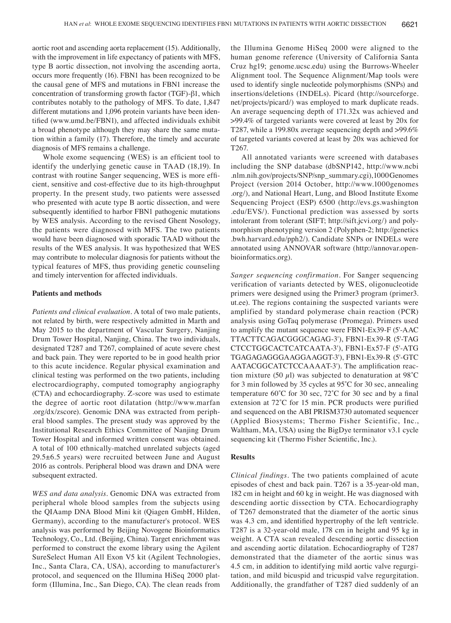aortic root and ascending aorta replacement (15). Additionally, with the improvement in life expectancy of patients with MFS, type B aortic dissection, not involving the ascending aorta, occurs more frequently (16). FBN1 has been recognized to be the causal gene of MFS and mutations in FBN1 increase the concentration of transforming growth factor (TGF)-β1, which contributes notably to the pathology of MFS. To date, 1,847 different mutations and 1,096 protein variants have been identified (www.umd.be/FBN1), and affected individuals exhibit a broad phenotype although they may share the same mutation within a family (17). Therefore, the timely and accurate diagnosis of MFS remains a challenge.

Whole exome sequencing (WES) is an efficient tool to identify the underlying genetic cause in TAAD (18,19). In contrast with routine Sanger sequencing, WES is more efficient, sensitive and cost-effective due to its high-throughput property. In the present study, two patients were assessed who presented with acute type B aortic dissection, and were subsequently identified to harbor FBN1 pathogenic mutations by WES analysis. According to the revised Ghent Nosology, the patients were diagnosed with MFS. The two patients would have been diagnosed with sporadic TAAD without the results of the WES analysis. It was hypothesized that WES may contribute to molecular diagnosis for patients without the typical features of MFS, thus providing genetic counseling and timely intervention for affected individuals.

# **Patients and methods**

*Patients and clinical evaluation.* A total of two male patients, not related by birth, were respectively admitted in Marth and May 2015 to the department of Vascular Surgery, Nanjing Drum Tower Hospital, Nanjing, China. The two individuals, designated T287 and T267, complained of acute severe chest and back pain. They were reported to be in good health prior to this acute incidence. Regular physical examination and clinical testing was performed on the two patients, including electrocardiography, computed tomography angiography (CTA) and echocardiography. Z-score was used to estimate the degree of aortic root dilatation (http://www.marfan .org/dx/zscore). Genomic DNA was extracted from peripheral blood samples. The present study was approved by the Institutional Research Ethics Committee of Nanjing Drum Tower Hospital and informed written consent was obtained. A total of 100 ethnically-matched unrelated subjects (aged 29.5±6.5 years) were recruited between June and August 2016 as controls. Peripheral blood was drawn and DNA were subsequent extracted.

*WES and data analysis.* Genomic DNA was extracted from peripheral whole blood samples from the subjects using the QIAamp DNA Blood Mini kit (Qiagen GmbH, Hilden, Germany), according to the manufacturer's protocol. WES analysis was performed by Beijing Novogene Bioinformatics Technology, Co., Ltd. (Beijing, China). Target enrichment was performed to construct the exome library using the Agilent SureSelect Human All Exon V5 kit (Agilent Technologies, Inc., Santa Clara, CA, USA), according to manufacturer's protocol, and sequenced on the Illumina HiSeq 2000 platform (Illumina, Inc., San Diego, CA). The clean reads from the Illumina Genome HiSeq 2000 were aligned to the human genome reference (University of California Santa Cruz hg19; genome.ucsc.edu) using the Burrows-Wheeler Alignment tool. The Sequence Alignment/Map tools were used to identify single nucleotide polymorphisms (SNPs) and insertions/deletions (INDELs). Picard (http://sourceforge. net/projects/picard/) was employed to mark duplicate reads. An average sequencing depth of 171.32x was achieved and >99.4% of targeted variants were covered at least by 20x for T287, while a 199.80x average sequencing depth and >99.6% of targeted variants covered at least by 20x was achieved for T267.

All annotated variants were screened with databases including the SNP database (dbSNP142, http://www.ncbi .nlm.nih.gov/projects/SNP/snp\_summary.cgi), 1000 Genomes Project (version 2014 October, http://www.1000genomes .org/), and National Heart, Lung, and Blood Institute Exome Sequencing Project (ESP) 6500 (http://evs.gs.washington .edu/EVS/). Functional prediction was assessed by sorts intolerant from tolerant (SIFT; http://sift.jcvi.org/) and polymorphism phenotyping version 2 (Polyphen-2; http://genetics .bwh.harvard.edu/pph2/). Candidate SNPs or INDELs were annotated using ANNOVAR software (http://annovar.openbioinformatics.org).

*Sanger sequencing confirmation.* For Sanger sequencing verification of variants detected by WES, oligonucleotide primers were designed using the Primer3 program (primer3. ut.ee). The regions containing the suspected variants were amplified by standard polymerase chain reaction (PCR) analysis using GoTaq polymerase (Promega). Primers used to amplify the mutant sequence were FBN1-Ex39-F (5'-AAC TTACTTCAGACGGGCAGAG-3'), FBN1-Ex39-R (5'-TAG CTCCTGGCACTCATCAATA-3'), FBN1-Ex57-F (5'-ATG TGAGAGAGGGAAGGAAGGT-3'), FBN1-Ex39-R (5'-GTC AATACGGCATCTCCAAAAT-3'). The amplification reaction mixture (50  $\mu$ l) was subjected to denaturation at 98°C for 3 min followed by 35 cycles at 95˚C for 30 sec, annealing temperature 60˚C for 30 sec, 72˚C for 30 sec and by a final extension at 72˚C for 15 min. PCR products were purified and sequenced on the ABI PRISM3730 automated sequencer (Applied Biosystems; Thermo Fisher Scientific, Inc., Waltham, MA, USA) using the BigDye terminator v3.1 cycle sequencing kit (Thermo Fisher Scientific, Inc.).

# **Results**

*Clinical findings.* The two patients complained of acute episodes of chest and back pain. T267 is a 35-year-old man, 182 cm in height and 60 kg in weight. He was diagnosed with descending aortic dissection by CTA. Echocardiography of T267 demonstrated that the diameter of the aortic sinus was 4.3 cm, and identified hypertrophy of the left ventricle. T287 is a 32-year-old male, 178 cm in height and 95 kg in weight. A CTA scan revealed descending aortic dissection and ascending aortic dilatation. Echocardiography of T287 demonstrated that the diameter of the aortic sinus was 4.5 cm, in addition to identifying mild aortic valve regurgitation, and mild bicuspid and tricuspid valve regurgitation. Additionally, the grandfather of T287 died suddenly of an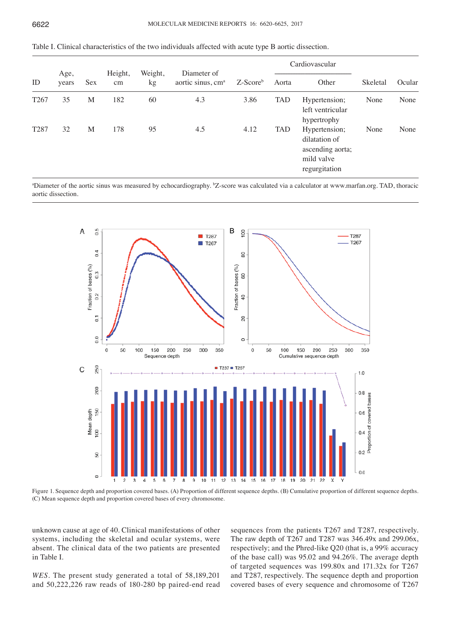|                  |               |            |               |               |                                              |            | Cardiovascular |                                                                                   |          |        |
|------------------|---------------|------------|---------------|---------------|----------------------------------------------|------------|----------------|-----------------------------------------------------------------------------------|----------|--------|
| ID               | Age,<br>years | <b>Sex</b> | Height,<br>cm | Weight,<br>kg | Diameter of<br>aortic sinus, cm <sup>a</sup> | $Z-Scoreb$ | Aorta          | Other                                                                             | Skeletal | Ocular |
| T <sub>267</sub> | 35            | M          | 182           | 60            | 4.3                                          | 3.86       | <b>TAD</b>     | Hypertension;<br>left ventricular<br>hypertrophy                                  | None     | None   |
| T <sub>287</sub> | 32            | М          | 178           | 95            | 4.5                                          | 4.12       | <b>TAD</b>     | Hypertension;<br>dilatation of<br>ascending aorta;<br>mild valve<br>regurgitation | None     | None   |

Table I. Clinical characteristics of the two individuals affected with acute type B aortic dissection.

<sup>a</sup>Diameter of the aortic sinus was measured by echocardiography. <sup>b</sup>Z-score was calculated via a calculator at www.marfan.org. TAD, thoracic aortic dissection.



Figure 1. Sequence depth and proportion covered bases. (A) Proportion of different sequence depths. (B) Cumulative proportion of different sequence depths. (C) Mean sequence depth and proportion covered bases of every chromosome.

unknown cause at age of 40. Clinical manifestations of other systems, including the skeletal and ocular systems, were absent. The clinical data of the two patients are presented in Table I.

WES. The present study generated a total of 58,189,201 and 50,222,226 raw reads of 180-280 bp paired-end read sequences from the patients T267 and T287, respectively. The raw depth of T267 and T287 was 346.49x and 299.06x, respectively; and the Phred-like Q20 (that is, a 99% accuracy of the base call) was 95.02 and 94.26%. The average depth of targeted sequences was 199.80x and 171.32x for T267 and T287, respectively. The sequence depth and proportion covered bases of every sequence and chromosome of T267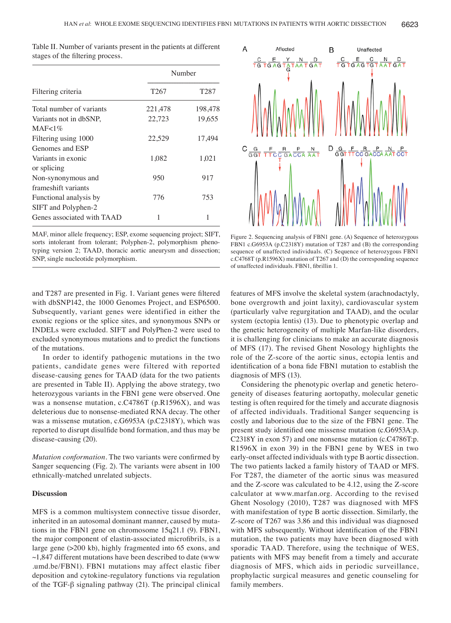|                            | Number           |         |  |  |  |
|----------------------------|------------------|---------|--|--|--|
| Filtering criteria         | T <sub>267</sub> | T287    |  |  |  |
| Total number of variants   | 221,478          | 198,478 |  |  |  |
| Variants not in dbSNP,     | 22,723           | 19,655  |  |  |  |
| MAF <sub>1</sub> %         |                  |         |  |  |  |
| Filtering using 1000       | 22,529           | 17,494  |  |  |  |
| Genomes and ESP            |                  |         |  |  |  |
| Variants in exonic         | 1,082            | 1,021   |  |  |  |
| or splicing                |                  |         |  |  |  |
| Non-synonymous and         | 950              | 917     |  |  |  |
| frameshift variants        |                  |         |  |  |  |
| Functional analysis by     | 776              | 753     |  |  |  |
| SIFT and Polyphen-2        |                  |         |  |  |  |
| Genes associated with TAAD | 1                | 1       |  |  |  |

Table II. Number of variants present in the patients at different stages of the filtering process.

MAF, minor allele frequency; ESP, exome sequencing project; SIFT, sorts intolerant from tolerant; Polyphen-2, polymorphism phenotyping version 2; TAAD, thoracic aortic aneurysm and dissection; SNP, single nucleotide polymorphism.



Figure 2. Sequencing analysis of FBN1 gene. (A) Sequence of heterozygous FBN1 c.G6953A (p.C2318Y) mutation of T287 and (B) the corresponding sequence of unaffected individuals. (C) Sequence of heterozygous FBN1 c.C4768T (p.R1596X) mutation of T267 and (D) the corresponding sequence of unaffected individuals. FBN1, fibrillin 1.

and T287 are presented in Fig. 1. Variant genes were filtered with dbSNP142, the 1000 Genomes Project, and ESP6500. Subsequently, variant genes were identified in either the exonic regions or the splice sites, and synonymous SNPs or INDELs were excluded. SIFT and PolyPhen-2 were used to excluded synonymous mutations and to predict the functions of the mutations.

In order to identify pathogenic mutations in the two patients, candidate genes were filtered with reported disease-causing genes for TAAD (data for the two patients are presented in Table II). Applying the above strategy, two heterozygous variants in the FBN1 gene were observed. One was a nonsense mutation, c.C4786T (p.R1596X), and was deleterious due to nonsense-mediated RNA decay. The other was a missense mutation, c.G6953A (p.C2318Y), which was reported to disrupt disulfide bond formation, and thus may be disease-causing (20).

*Mutation conformation.* The two variants were confirmed by Sanger sequencing (Fig. 2). The variants were absent in 100 ethnically-matched unrelated subjects.

## **Discussion**

MFS is a common multisystem connective tissue disorder, inherited in an autosomal dominant manner, caused by mutations in the FBN1 gene on chromosome 15q21.1 (9). FBN1, the major component of elastin‑associated microfibrils, is a large gene (>200 kb), highly fragmented into 65 exons, and  $\sim$ 1,847 different mutations have been described to date (www .umd.be/FBN1). FBN1 mutations may affect elastic fiber deposition and cytokine-regulatory functions via regulation of the TGF-β signaling pathway (21). The principal clinical

features of MFS involve the skeletal system (arachnodactyly, bone overgrowth and joint laxity), cardiovascular system (particularly valve regurgitation and TAAD), and the ocular system (ectopia lentis) (13). Due to phenotypic overlap and the genetic heterogeneity of multiple Marfan-like disorders, it is challenging for clinicians to make an accurate diagnosis of MFS (17). The revised Ghent Nosology highlights the role of the Z-score of the aortic sinus, ectopia lentis and identification of a bona fide FBN1 mutation to establish the diagnosis of MFS (13).

Considering the phenotypic overlap and genetic heterogeneity of diseases featuring aortopathy, molecular genetic testing is often required for the timely and accurate diagnosis of affected individuals. Traditional Sanger sequencing is costly and laborious due to the size of the FBN1 gene. The present study identified one missense mutation (c.G6953A:p. C2318Y in exon 57) and one nonsense mutation (c.C4786T:p. R1596X in exon 39) in the FBN1 gene by WES in two early-onset affected individuals with type B aortic dissection. The two patients lacked a family history of TAAD or MFS. For T287, the diameter of the aortic sinus was measured and the Z-score was calculated to be 4.12, using the Z-score calculator at www.marfan.org. According to the revised Ghent Nosology (2010), T287 was diagnosed with MFS with manifestation of type B aortic dissection. Similarly, the Z-score of T267 was 3.86 and this individual was diagnosed with MFS subsequently. Without identification of the FBN1 mutation, the two patients may have been diagnosed with sporadic TAAD. Therefore, using the technique of WES, patients with MFS may benefit from a timely and accurate diagnosis of MFS, which aids in periodic surveillance, prophylactic surgical measures and genetic counseling for family members.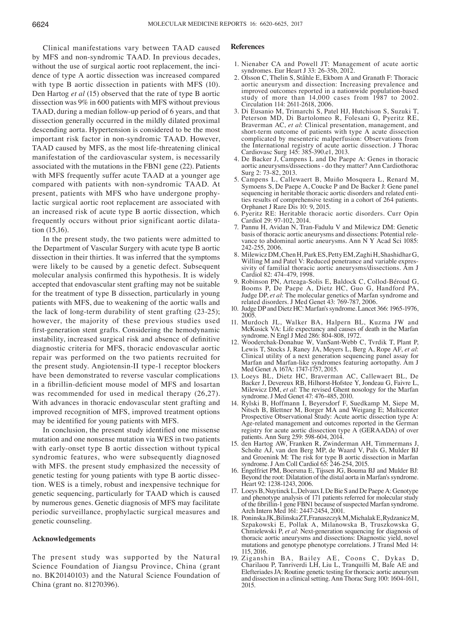Clinical manifestations vary between TAAD caused by MFS and non-syndromic TAAD. In previous decades, without the use of surgical aortic root replacement, the incidence of type A aortic dissection was increased compared with type B aortic dissection in patients with MFS (10). Den Hartog *et al* (15) observed that the rate of type B aortic dissection was 9% in 600 patients with MFS without previous TAAD, during a median follow-up period of 6 years, and that dissection generally occurred in the mildly dilated proximal descending aorta. Hypertension is considered to be the most important risk factor in non-syndromic TAAD. However, TAAD caused by MFS, as the most life-threatening clinical manifestation of the cardiovascular system, is necessarily associated with the mutations in the FBN1 gene (22). Patients with MFS frequently suffer acute TAAD at a younger age compared with patients with non-syndromic TAAD. At present, patients with MFS who have undergone prophylactic surgical aortic root replacement are associated with an increased risk of acute type B aortic dissection, which frequently occurs without prior significant aortic dilatation (15,16).

In the present study, the two patients were admitted to the Department of Vascular Surgery with acute type B aortic dissection in their thirties. It was inferred that the symptoms were likely to be caused by a genetic defect. Subsequent molecular analysis confirmed this hypothesis. It is widely accepted that endovascular stent grafting may not be suitable for the treatment of type B dissection, particularly in young patients with MFS, due to weakening of the aortic walls and the lack of long-term durability of stent grafting (23-25); however, the majority of these previous studies used first‑generation stent grafts. Considering the hemodynamic instability, increased surgical risk and absence of definitive diagnostic criteria for MFS, thoracic endovascular aortic repair was performed on the two patients recruited for the present study. Angiotensin-II type-1 receptor blockers have been demonstrated to reverse vascular complications in a fibrillin‑deficient mouse model of MFS and losartan was recommended for used in medical therapy (26,27). With advances in thoracic endovascular stent grafting and improved recognition of MFS, improved treatment options may be identified for young patients with MFS.

In conclusion, the present study identified one missense mutation and one nonsense mutation via WES in two patients with early-onset type B aortic dissection without typical syndromic features, who were subsequently diagnosed with MFS. the present study emphasized the necessity of genetic testing for young patients with type B aortic dissection. WES is a timely, robust and inexpensive technique for genetic sequencing, particularly for TAAD which is caused by numerous genes. Genetic diagnosis of MFS may facilitate periodic surveillance, prophylactic surgical measures and genetic counseling.

## **Acknowledgements**

The present study was supported by the Natural Science Foundation of Jiangsu Province, China (grant no. BK20140103) and the Natural Science Foundation of China (grant no. 81270396).

#### **References**

- 1. Nienaber CA and Powell JT: Management of acute aortic syndromes. Eur Heart J 33: 26-35b, 2012.
- 2. Olsson C, Thelin S, Ståhle E, Ekbom A and Granath F: Thoracic aortic aneurysm and dissection: Increasing prevalence and improved outcomes reported in a nationwide population-based study of more than 14,000 cases from 1987 to 2002. Circulation 114: 2611-2618, 2006.
- 3. Di Eusanio M, Trimarchi S, Patel HJ, Hutchison S, Suzuki T, Peterson MD, Di Bartolomeo R, Folesani G, Pyeritz RE, Braverman AC, *et al*: Clinical presentation, management, and short-term outcome of patients with type A acute dissection complicated by mesenteric malperfusion: Observations from the International registry of acute aortic dissection. J Thorac Cardiovasc Surg 145: 385-390.e1, 2013.
- 4. De Backer J, Campens L and De Paepe A: Genes in thoracic aortic aneurysms/dissections - do they matter? Ann Cardiothorac Surg 2: 73-82, 2013.
- 5. Campens L, Callewaert B, Muiño Mosquera L, Renard M, Symoens S, De Paepe A, Coucke P and De Backer J: Gene panel ties results of comprehensive testing in a cohort of 264 patients. Orphanet J Rare Dis 10: 9, 2015.
- 6. Pyeritz RE: Heritable thoracic aortic disorders. Curr Opin Cardiol 29: 97-102, 2014.
- 7. Pannu H, Avidan N, Tran-Fadulu V and Milewicz DM: Genetic basis of thoracic aortic aneurysms and dissections: Potential rele- vance to abdominal aortic aneurysms. Ann N Y Acad Sci 1085: 242-255, 2006.
- 8. Milewicz DM, Chen H, Park ES, Petty EM, Zaghi H, Shashidhar G,<br>Willing M and Patel V: Reduced penetrance and variable expressivity of familial thoracic aortic aneurysms/dissections. Am J Cardiol 82: 474-479, 1998.
- 9. Robinson PN, Arteaga-Solis E, Baldock C, Collod-Béroud G, Booms P, De Paepe A, Dietz HC, Guo G, Handford PA, Judge DP, *et al*: The molecular genetics of Marfan syndrome and related disorders. J Med Genet 43: 769-787, 2006.
- 10. Judge DP and Dietz HC: Marfan's syndrome. Lancet 366: 1965-1976, 2005.
- 11. Murdoch JL, Walker BA, Halpern BL, Kuzma JW and McKusick VA: Life expectancy and causes of death in the Marfan syndrome. N Engl J Med 286: 804-808, 1972.
- 12. Wooderchak-Donahue W, VanSant-Webb C, Tvrdik T, Plant P, Lewis T, Stocks J, Raney JA, Meyers L, Berg A, Rope AF, et al: Clinical utility of a next generation sequencing panel assay for Marfan and Marfan-like syndromes featuring aortopathy. Am J Med Genet A 167A: 1747-1757, 2015.
- 13. Loeys BL, Dietz HC, Braverman AC, Callewaert BL, De Backer J, Devereux RB, Hilhorst-Hofstee Y, Jondeau G, Faivre L, Milewicz DM, *et al*: The revised Ghent nosology for the Marfan syndrome. J Med Genet 47: 476-485, 2010.
- 14. Rylski B, Hoffmann I, Beyersdorf F, Suedkamp M, Siepe M, Nitsch B, Blettner M, Borger MA and Weigang E; Multicenter Prospective Observational Study: Acute aortic dissection type A: Age-related management and outcomes reported in the German registry for acute aortic dissection type A (GERAADA) of over patients. Ann Surg 259: 598-604, 2014.
- 15. den Hartog AW, Franken R, Zwinderman AH, Timmermans J, Scholte AJ, van den Berg MP, de Waard V, Pals G, Mulder BJ and Groenink M: The risk for type B aortic dissection in Marfan syndrome. J Am Coll Cardiol 65: 246-254, 2015.
- 16. Engelfriet PM, Boersma E, Tijssen JG, Bouma BJ and Mulder BJ: Beyond the root: Dilatation of the distal aorta in Marfan's syndrome. Heart 92: 1238-1243, 2006.
- 17. LoeysB, NuytinckL, Delvaux I, De BieS and De PaepeA: Genotype and phenotype analysis of 171 patients referred for molecular study of the fibrillin-1 gene FBN1 because of suspected Marfan syndrome. Arch Intern Med 161: 2447-2454, 2001.
- 18. PoninskaJK, BilinskaZT, FranaszczykM, MichalakE, RydzaniczM, Szpakowski E, Pollak A, Milanowska B, Truszkowska G, Chmielewski P, *et al*: Next-generation sequencing for diagnosis of thoracic aortic aneurysms and dissections: Diagnostic yield, novel mutations and genotype phenotype correlations. J Transl Med 14: 115, 2016.
- 19. Ziganshin BA, Bailey AE, Coons C, Dykas D, Charilaou P, Tanriverdi LH, Liu L, Tranquilli M, Bale AE and ElefteriadesJA: Routine genetic testing for thoracic aortic aneurysm and dissection in a clinical setting. Ann Thorac Surg 100: 1604-1611, 2015.